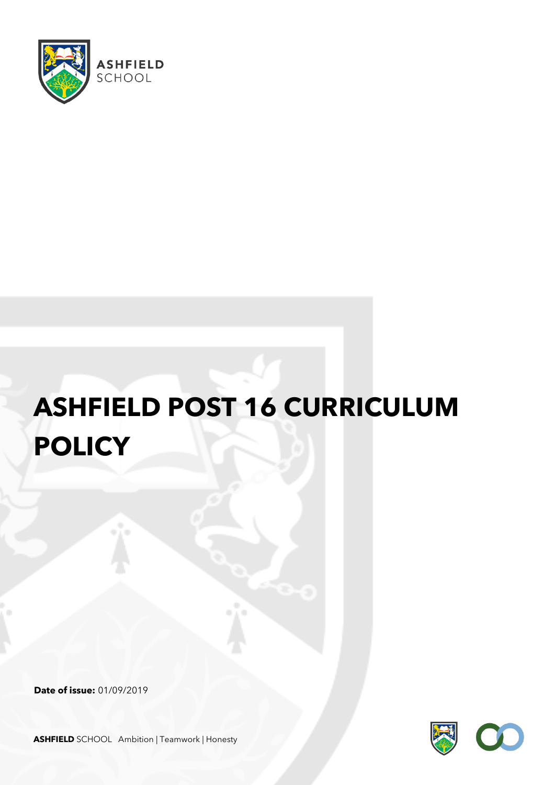

## **ASHFIELD POST 16 CURRICULUM POLICY**

**Date of issue:** 01/09/2019



**ASHFIELD** SCHOOL Ambition | Teamwork | Honesty